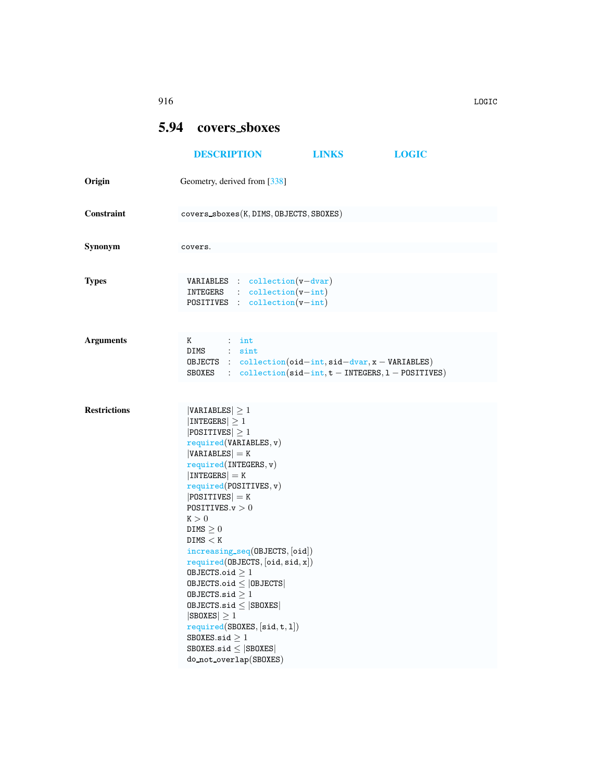## 916 LOGIC

## <span id="page-0-0"></span>5.94 covers sboxes

|                     | <b>DESCRIPTION</b>                                                                                                                                                                                                                                                                                                                                                                                                                                                                                                                                                                                 | <b>LINKS</b>                                                                                                                                                                                            | <b>LOGIC</b> |
|---------------------|----------------------------------------------------------------------------------------------------------------------------------------------------------------------------------------------------------------------------------------------------------------------------------------------------------------------------------------------------------------------------------------------------------------------------------------------------------------------------------------------------------------------------------------------------------------------------------------------------|---------------------------------------------------------------------------------------------------------------------------------------------------------------------------------------------------------|--------------|
| Origin              | Geometry, derived from [338]                                                                                                                                                                                                                                                                                                                                                                                                                                                                                                                                                                       |                                                                                                                                                                                                         |              |
| Constraint          | covers_sboxes(K, DIMS, OBJECTS, SBOXES)                                                                                                                                                                                                                                                                                                                                                                                                                                                                                                                                                            |                                                                                                                                                                                                         |              |
| Synonym             | covers.                                                                                                                                                                                                                                                                                                                                                                                                                                                                                                                                                                                            |                                                                                                                                                                                                         |              |
| Types               | <b>VARIABLES</b> : collection $(v - dvar)$<br>$INTEGRS$ : $collection(v-int)$<br><b>POSITIVES</b> : $\text{collection}(v\text{-}int)$                                                                                                                                                                                                                                                                                                                                                                                                                                                              |                                                                                                                                                                                                         |              |
| <b>Arguments</b>    | K<br>$\vdots$ int<br>DIMS : sint                                                                                                                                                                                                                                                                                                                                                                                                                                                                                                                                                                   | OBJECTS : $\text{collection}(\text{oid} - \text{int}, \text{sid} - \text{dvar}, x - \text{VARIABLES})$<br>SBOXES : $\text{collection}(\text{sid} - \text{int}, t - \text{INTERS}, 1 - \text{POSITION})$ |              |
| <b>Restrictions</b> | $ VARIABLES  \geq 1$<br>$ INTEGERS  \geq 1$<br>$ POSITIVES  \geq 1$<br>required(VARIABLES, v)<br>$ VARIABLES  = K$<br>required(INTERS, v)<br>$ INTEGERS  = K$<br>required(POSTTIVES, v)<br>$ POSITIVES  = K$<br>POSITIVES. $v > 0$<br>K > 0<br>DIMS $\geq 0$<br>DIMS < K<br>increasing_seq(OBJECTS, [oid])<br>required(0BJECTS, [oid, sid, x])<br>OBJECTS.oid $\geq 1$<br>$0$ BJECTS.oid $\leq$  OBJECTS <br>OBJECTS.sid $\geq 1$<br>$0$ BJECTS.sid $\leq$  SB0XES <br>$ SBOKES  \geq 1$<br>required(SBOXES, [sid, t, 1])<br>SBOKES.size > 1<br>SBOXES.sid $\leq$ SBOXES<br>do_not_overlap(SBOXES) |                                                                                                                                                                                                         |              |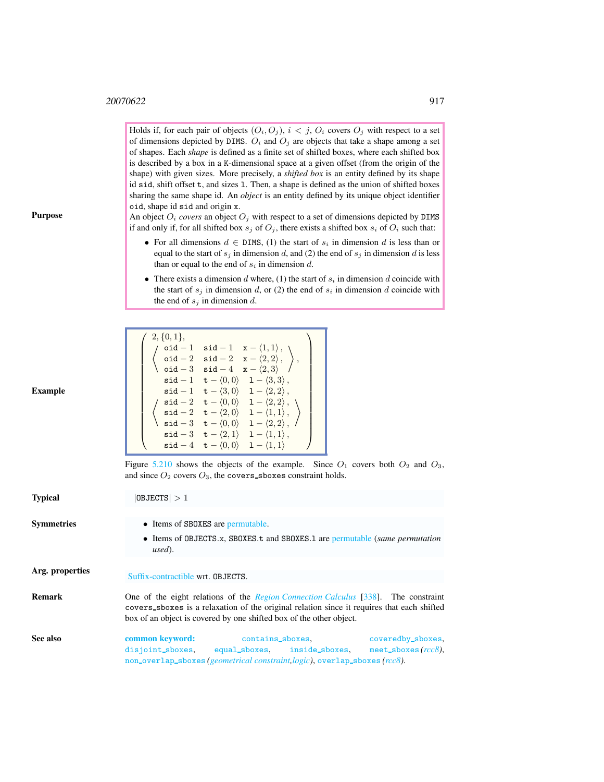Holds if, for each pair of objects  $(O_i, O_j)$ ,  $i < j$ ,  $O_i$  covers  $O_j$  with respect to a set of dimensions depicted by DIMS.  $O_i$  and  $O_j$  are objects that take a shape among a set of shapes. Each *shape* is defined as a finite set of shifted boxes, where each shifted box is described by a box in a K-dimensional space at a given offset (from the origin of the shape) with given sizes. More precisely, a *shifted box* is an entity defined by its shape id sid, shift offset t, and sizes l. Then, a shape is defined as the union of shifted boxes sharing the same shape id. An *object* is an entity defined by its unique object identifier oid, shape id sid and origin x.

An object  $O_i$  *covers* an object  $O_j$  with respect to a set of dimensions depicted by DIMS if and only if, for all shifted box  $s_j$  of  $O_j$ , there exists a shifted box  $s_i$  of  $O_i$  such that:

- For all dimensions  $d \in$  DIMS, (1) the start of  $s_i$  in dimension d is less than or equal to the start of  $s_j$  in dimension d, and (2) the end of  $s_j$  in dimension d is less than or equal to the end of  $s_i$  in dimension d.
- There exists a dimension d where, (1) the start of  $s_i$  in dimension d coincide with the start of  $s_j$  in dimension d, or (2) the end of  $s_i$  in dimension d coincide with the end of  $s_j$  in dimension d.

| $2, \{0,1\},\$   |                                                                                             |
|------------------|---------------------------------------------------------------------------------------------|
| $\circ$ id $-1$  | $\texttt{sid} - 1 \quad \texttt{x} - \langle 1, 1 \rangle$ , \                              |
| $\mathsf{oid}-2$ | $\texttt{sid} - 2 \quad \texttt{x} - \langle 2, 2 \rangle$ ,                                |
| oid $- \, 3$     | $\mathbf{x} - \langle 2, 3 \rangle$<br>$\texttt{sid}-4$                                     |
| $sid-1$          | $\mathsf{t} - \langle 0,0 \rangle \quad \mathsf{1} - \langle 3,3 \rangle$ ,                 |
| $\verb sid-1 $   | $t - \langle 3, 0 \rangle$ $1 - \langle 2, 2 \rangle$ ,                                     |
| $sid-2$          | $t - \langle 0, 0 \rangle$ $1 - \langle 2, 2 \rangle$ , $\setminus$                         |
| $\mathsf{sid}-2$ | $\mathtt{t} - \langle 2, 0 \rangle$<br>$1 - \langle 1, 1 \rangle$ ,                         |
| $\verb sid  - 3$ | $\texttt{t} - \langle 0, 0 \rangle$<br>$1 - \langle 2, 2 \rangle$ , /                       |
|                  | $\texttt{sid} - 3 \quad \texttt{t} - \langle 2, 1 \rangle \quad 1 - \langle 1, 1 \rangle$ , |
| $\texttt{sid}-4$ | $\mathbf{t} - \langle 0, 0 \rangle$<br>$1 - \langle 1, 1 \rangle$                           |

Figure [5.210](#page-2-0) shows the objects of the example. Since  $O_1$  covers both  $O_2$  and  $O_3$ , and since  $O_2$  covers  $O_3$ , the covers sboxes constraint holds.

<span id="page-1-0"></span>

| <b>Typical</b>    | 0BJECTS >1                                                                                                                                                                                                                                                     |  |  |  |  |
|-------------------|----------------------------------------------------------------------------------------------------------------------------------------------------------------------------------------------------------------------------------------------------------------|--|--|--|--|
| <b>Symmetries</b> | • Items of SBOXES are permutable.<br>• Items of OBJECTS.x, SBOXES.t and SBOXES.1 are permutable (same permutation<br>used).                                                                                                                                    |  |  |  |  |
| Arg. properties   | Suffix-contractible wrt. OBJECTS.                                                                                                                                                                                                                              |  |  |  |  |
| <b>Remark</b>     | One of the eight relations of the <i>Region Connection Calculus</i> [338]. The constraint<br>covers sboxes is a relaxation of the original relation since it requires that each shifted<br>box of an object is covered by one shifted box of the other object. |  |  |  |  |
| See also          | common keyword:<br>coveredby_sboxes,<br>contains_sboxes,<br>meet_sboxes $(rcc8)$ ,<br>disjoint_sboxes, equal_sboxes, inside_sboxes,<br>$non_0$ verlap_sboxes(geometrical constraint logic), overlap_sboxes( $rcc8$ ).                                          |  |  |  |  |

## Example

Purpose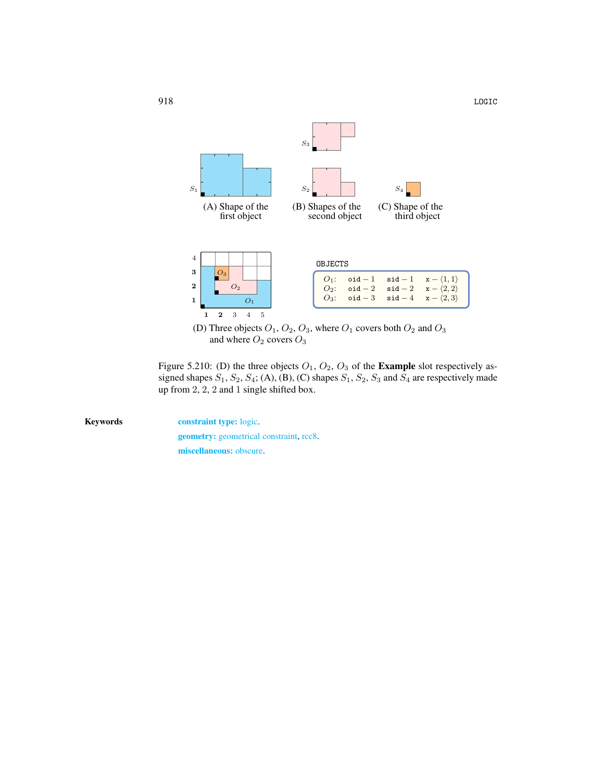

<span id="page-2-0"></span>(D) Three objects  $O_1$ ,  $O_2$ ,  $O_3$ , where  $O_1$  covers both  $O_2$  and  $O_3$ and where  $O_2$  covers  $O_3$ 

Figure 5.210: (D) the three objects  $O_1$ ,  $O_2$ ,  $O_3$  of the **Example** slot respectively assigned shapes  $S_1$ ,  $S_2$ ,  $S_4$ ; (A), (B), (C) shapes  $S_1$ ,  $S_2$ ,  $S_3$  and  $S_4$  are respectively made up from 2, 2, 2 and 1 single shifted box.

Keywords constraint type: logic. geometry: geometrical constraint, rcc8. miscellaneous: obscure.